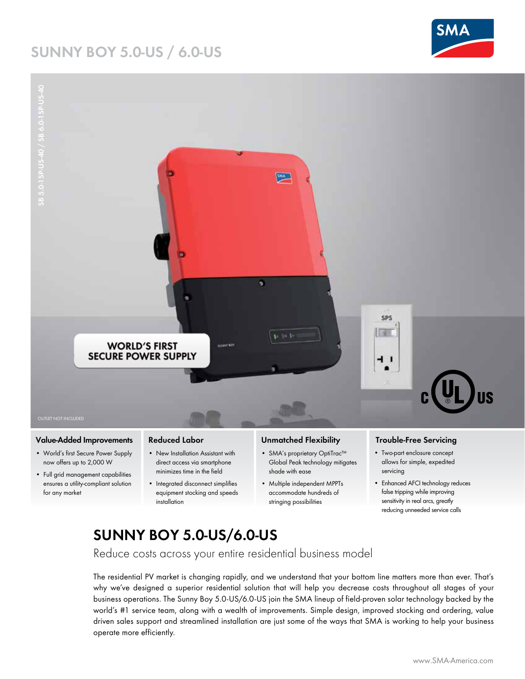## **SUNNY BOY 5.0-US / 6.0-US**





#### **Value-Added Improvements**

- World's first Secure Power Supply now offers up to 2,000 W
- Full grid management capabilities ensures a utility-compliant solution for any market

#### **Reduced Labor**

- New Installation Assistant with direct access via smartphone minimizes time in the field
- Integrated disconnect simplifies equipment stocking and speeds installation

#### **Unmatched Flexibility**

- SMA's proprietary OptiTrac™ Global Peak technology mitigates shade with ease
- Multiple independent MPPTs accommodate hundreds of stringing possibilities

#### **Trouble-Free Servicing**

- Two-part enclosure concept allows for simple, expedited servicing
- Enhanced AFCI technology reduces false tripping while improving sensitivity in real arcs, greatly reducing unneeded service calls

## **SUNNY BOY 5.0-US/6.0-US**

Reduce costs across your entire residential business model

The residential PV market is changing rapidly, and we understand that your bottom line matters more than ever. That's why we've designed a superior residential solution that will help you decrease costs throughout all stages of your business operations. The Sunny Boy 5.0-US/6.0-US join the SMA lineup of field-proven solar technology backed by the world's #1 service team, along with a wealth of improvements. Simple design, improved stocking and ordering, value driven sales support and streamlined installation are just some of the ways that SMA is working to help your business operate more efficiently.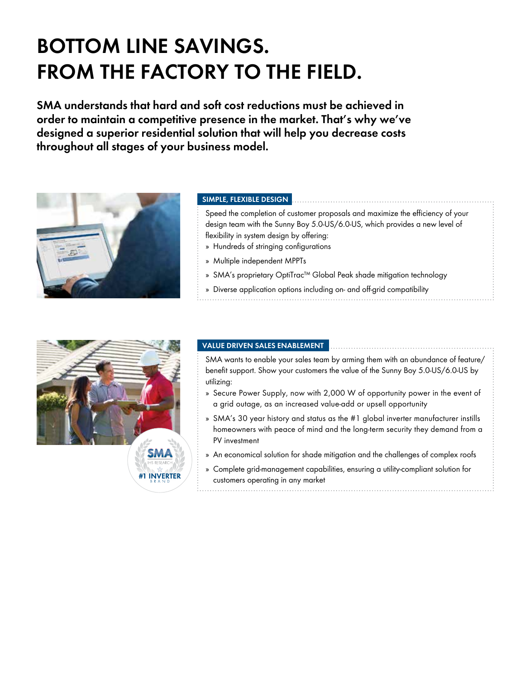# **BOTTOM LINE SAVINGS. FROM THE FACTORY TO THE FIELD.**

**SMA understands that hard and soft cost reductions must be achieved in order to maintain a competitive presence in the market. That's why we've designed a superior residential solution that will help you decrease costs throughout all stages of your business model.**



#### **SIMPLE, FLEXIBLE DESIGN**

Speed the completion of customer proposals and maximize the efficiency of your design team with the Sunny Boy 5.0-US/6.0-US, which provides a new level of flexibility in system design by offering:

- » Hundreds of stringing configurations
- » Multiple independent MPPTs
- » SMA's proprietary OptiTrac™ Global Peak shade mitigation technology
- » Diverse application options including on- and off-grid compatibility



#### **VALUE DRIVEN SALES ENABLEMENT**

SMA wants to enable your sales team by arming them with an abundance of feature/ benefit support. Show your customers the value of the Sunny Boy 5.0-US/6.0-US by utilizing:

- » Secure Power Supply, now with 2,000 W of opportunity power in the event of a grid outage, as an increased value-add or upsell opportunity
- » SMA's 30 year history and status as the #1 global inverter manufacturer instills homeowners with peace of mind and the long-term security they demand from a PV investment
- » An economical solution for shade mitigation and the challenges of complex roofs
- » Complete grid-management capabilities, ensuring a utility-compliant solution for customers operating in any market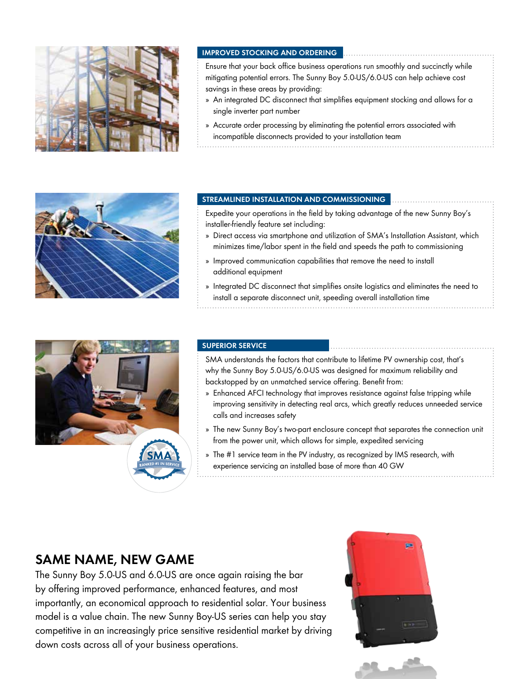

#### **IMPROVED STOCKING AND ORDERING**

Ensure that your back office business operations run smoothly and succinctly while mitigating potential errors. The Sunny Boy 5.0-US/6.0-US can help achieve cost savings in these areas by providing:

- » An integrated DC disconnect that simplifies equipment stocking and allows for a single inverter part number
- » Accurate order processing by eliminating the potential errors associated with incompatible disconnects provided to your installation team



#### **STREAMLINED INSTALLATION AND COMMISSIONING**

Expedite your operations in the field by taking advantage of the new Sunny Boy's installer-friendly feature set including:

- » Direct access via smartphone and utilization of SMA's Installation Assistant, which minimizes time/labor spent in the field and speeds the path to commissioning
- » Improved communication capabilities that remove the need to install additional equipment
- » Integrated DC disconnect that simplifies onsite logistics and eliminates the need to install a separate disconnect unit, speeding overall installation time



#### **SUPERIOR SERVICE**

SMA understands the factors that contribute to lifetime PV ownership cost, that's why the Sunny Boy 5.0-US/6.0-US was designed for maximum reliability and backstopped by an unmatched service offering. Benefit from:

- » Enhanced AFCI technology that improves resistance against false tripping while improving sensitivity in detecting real arcs, which greatly reduces unneeded service calls and increases safety
- » The new Sunny Boy's two-part enclosure concept that separates the connection unit from the power unit, which allows for simple, expedited servicing
- » The #1 service team in the PV industry, as recognized by IMS research, with experience servicing an installed base of more than 40 GW

### **SAME NAME, NEW GAME**

The Sunny Boy 5.0-US and 6.0-US are once again raising the bar by offering improved performance, enhanced features, and most importantly, an economical approach to residential solar. Your business model is a value chain. The new Sunny Boy-US series can help you stay competitive in an increasingly price sensitive residential market by driving down costs across all of your business operations.